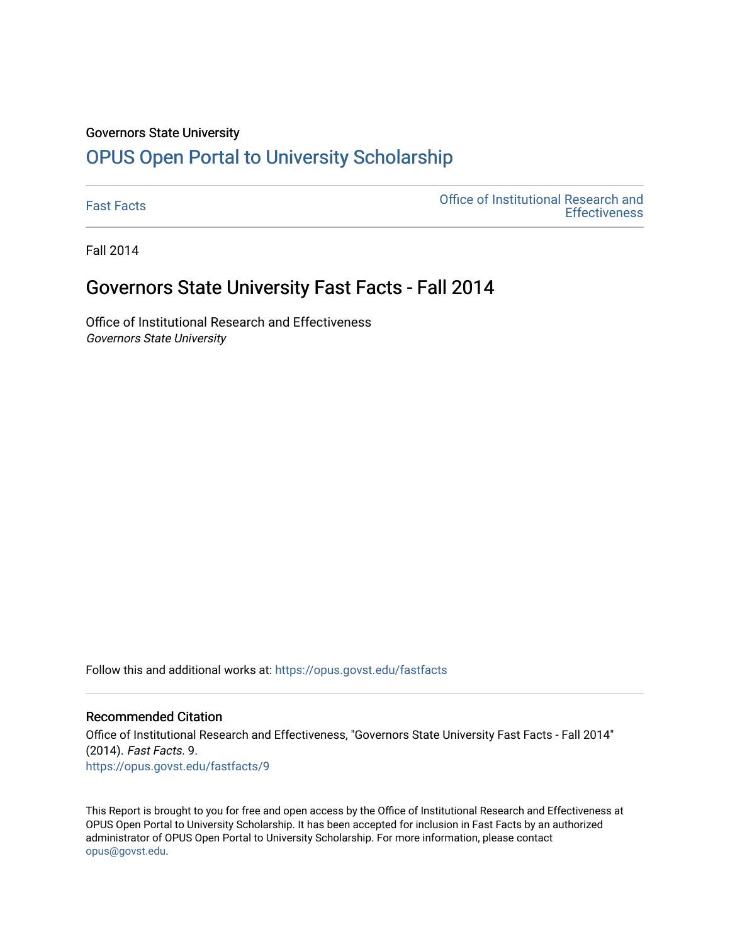#### Governors State University

## [OPUS Open Portal to University Scholarship](https://opus.govst.edu/)

[Fast Facts](https://opus.govst.edu/fastfacts) [Office of Institutional Research and](https://opus.govst.edu/ir)  **Effectiveness** 

Fall 2014

### Governors State University Fast Facts - Fall 2014

Office of Institutional Research and Effectiveness Governors State University

Follow this and additional works at: [https://opus.govst.edu/fastfacts](https://opus.govst.edu/fastfacts?utm_source=opus.govst.edu%2Ffastfacts%2F9&utm_medium=PDF&utm_campaign=PDFCoverPages)

#### Recommended Citation

Office of Institutional Research and Effectiveness, "Governors State University Fast Facts - Fall 2014" (2014). Fast Facts. 9. [https://opus.govst.edu/fastfacts/9](https://opus.govst.edu/fastfacts/9?utm_source=opus.govst.edu%2Ffastfacts%2F9&utm_medium=PDF&utm_campaign=PDFCoverPages)

This Report is brought to you for free and open access by the Office of Institutional Research and Effectiveness at OPUS Open Portal to University Scholarship. It has been accepted for inclusion in Fast Facts by an authorized administrator of OPUS Open Portal to University Scholarship. For more information, please contact [opus@govst.edu](mailto:opus@govst.edu).